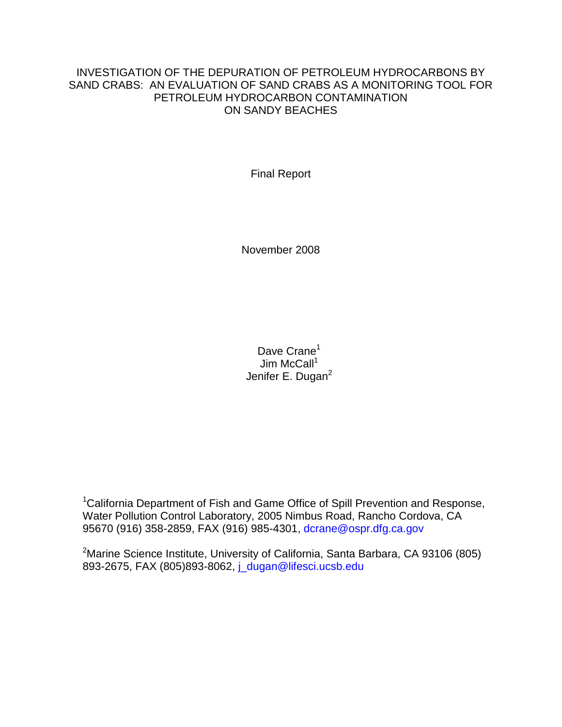# INVESTIGATION OF THE DEPURATION OF PETROLEUM HYDROCARBONS BY SAND CRABS: AN EVALUATION OF SAND CRABS AS A MONITORING TOOL FOR PETROLEUM HYDROCARBON CONTAMINATION ON SANDY BEACHES

Final Report

November 2008

Dave Crane<sup>1</sup> Jim McCall $1$ Jenifer E. Dugan<sup>2</sup>

<sup>1</sup>California Department of Fish and Game Office of Spill Prevention and Response, Water Pollution Control Laboratory, 2005 Nimbus Road, Rancho Cordova, CA 95670 (916) 358-2859, FAX (916) 985-4301, [dcrane@ospr.dfg.ca.gov](mailto:dcrane@ospr.dfg.ca.gov)

<sup>2</sup>Marine Science Institute, University of California, Santa Barbara, CA 93106 (805) 893-2675, FAX (805)893-8062, [j\\_dugan@lifesci.ucsb.edu](mailto:j_dugan@lifesci.lscf.ucsb.edu)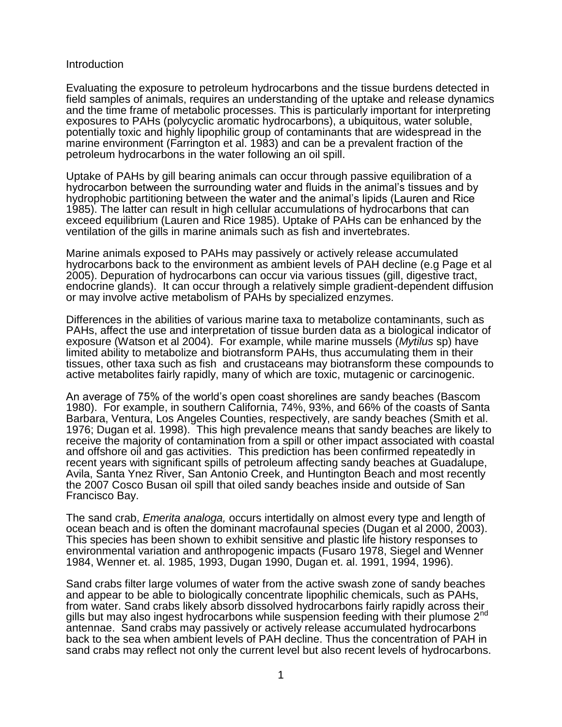## Introduction

Evaluating the exposure to petroleum hydrocarbons and the tissue burdens detected in field samples of animals, requires an understanding of the uptake and release dynamics and the time frame of metabolic processes. This is particularly important for interpreting exposures to PAHs (polycyclic aromatic hydrocarbons), a ubiquitous, water soluble, potentially toxic and highly lipophilic group of contaminants that are widespread in the marine environment (Farrington et al. 1983) and can be a prevalent fraction of the petroleum hydrocarbons in the water following an oil spill.

Uptake of PAHs by gill bearing animals can occur through passive equilibration of a hydrocarbon between the surrounding water and fluids in the animal's tissues and by hydrophobic partitioning between the water and the animal's lipids (Lauren and Rice 1985). The latter can result in high cellular accumulations of hydrocarbons that can exceed equilibrium (Lauren and Rice 1985). Uptake of PAHs can be enhanced by the ventilation of the gills in marine animals such as fish and invertebrates.

Marine animals exposed to PAHs may passively or actively release accumulated hydrocarbons back to the environment as ambient levels of PAH decline (e.g Page et al 2005). Depuration of hydrocarbons can occur via various tissues (gill, digestive tract, endocrine glands). It can occur through a relatively simple gradient-dependent diffusion or may involve active metabolism of PAHs by specialized enzymes.

Differences in the abilities of various marine taxa to metabolize contaminants, such as PAHs, affect the use and interpretation of tissue burden data as a biological indicator of exposure (Watson et al 2004). For example, while marine mussels (*Mytilus* sp) have limited ability to metabolize and biotransform PAHs, thus accumulating them in their tissues, other taxa such as fish and crustaceans may biotransform these compounds to active metabolites fairly rapidly, many of which are toxic, mutagenic or carcinogenic.

An average of 75% of the world's open coast shorelines are sandy beaches (Bascom 1980). For example, in southern California, 74%, 93%, and 66% of the coasts of Santa Barbara, Ventura, Los Angeles Counties, respectively, are sandy beaches (Smith et al. 1976; Dugan et al. 1998). This high prevalence means that sandy beaches are likely to receive the majority of contamination from a spill or other impact associated with coastal and offshore oil and gas activities. This prediction has been confirmed repeatedly in recent years with significant spills of petroleum affecting sandy beaches at Guadalupe, Avila, Santa Ynez River, San Antonio Creek, and Huntington Beach and most recently the 2007 Cosco Busan oil spill that oiled sandy beaches inside and outside of San Francisco Bay.

The sand crab, *Emerita analoga,* occurs intertidally on almost every type and length of ocean beach and is often the dominant macrofaunal species (Dugan et al 2000, 2003). This species has been shown to exhibit sensitive and plastic life history responses to environmental variation and anthropogenic impacts (Fusaro 1978, Siegel and Wenner 1984, Wenner et. al. 1985, 1993, Dugan 1990, Dugan et. al. 1991, 1994, 1996).

Sand crabs filter large volumes of water from the active swash zone of sandy beaches and appear to be able to biologically concentrate lipophilic chemicals, such as PAHs, from water. Sand crabs likely absorb dissolved hydrocarbons fairly rapidly across their gills but may also ingest hydrocarbons while suspension feeding with their plumose 2<sup>nd</sup> antennae. Sand crabs may passively or actively release accumulated hydrocarbons back to the sea when ambient levels of PAH decline. Thus the concentration of PAH in sand crabs may reflect not only the current level but also recent levels of hydrocarbons.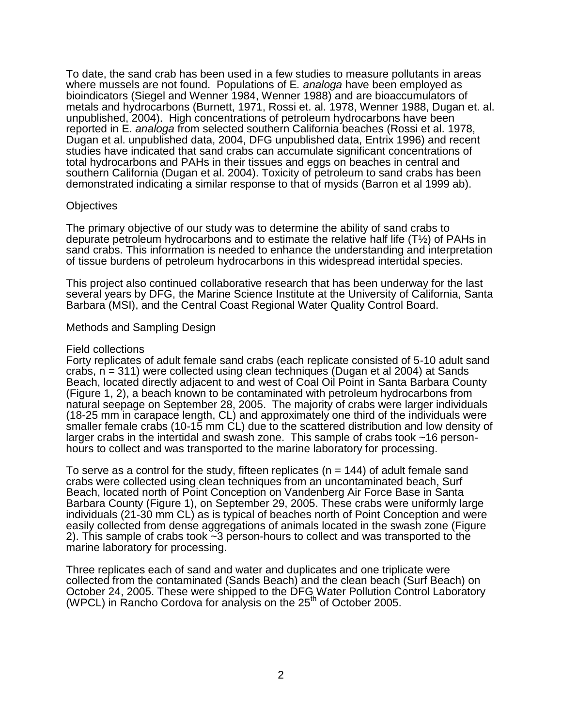To date, the sand crab has been used in a few studies to measure pollutants in areas where mussels are not found. Populations of E*. analoga* have been employed as bioindicators (Siegel and Wenner 1984, Wenner 1988) and are bioaccumulators of metals and hydrocarbons (Burnett, 1971, Rossi et. al. 1978, Wenner 1988, Dugan et. al. unpublished, 2004). High concentrations of petroleum hydrocarbons have been reported in E. *analoga* from selected southern California beaches (Rossi et al. 1978, Dugan et al. unpublished data, 2004, DFG unpublished data, Entrix 1996) and recent studies have indicated that sand crabs can accumulate significant concentrations of total hydrocarbons and PAHs in their tissues and eggs on beaches in central and southern California (Dugan et al. 2004). Toxicity of petroleum to sand crabs has been demonstrated indicating a similar response to that of mysids (Barron et al 1999 ab).

#### **Objectives**

The primary objective of our study was to determine the ability of sand crabs to depurate petroleum hydrocarbons and to estimate the relative half life (T½) of PAHs in sand crabs. This information is needed to enhance the understanding and interpretation of tissue burdens of petroleum hydrocarbons in this widespread intertidal species.

This project also continued collaborative research that has been underway for the last several years by DFG, the Marine Science Institute at the University of California, Santa Barbara (MSI), and the Central Coast Regional Water Quality Control Board.

## Methods and Sampling Design

#### Field collections

Forty replicates of adult female sand crabs (each replicate consisted of 5-10 adult sand crabs,  $n = 311$ ) were collected using clean techniques (Dugan et al 2004) at Sands Beach, located directly adjacent to and west of Coal Oil Point in Santa Barbara County (Figure 1, 2), a beach known to be contaminated with petroleum hydrocarbons from natural seepage on September 28, 2005. The majority of crabs were larger individuals (18-25 mm in carapace length, CL) and approximately one third of the individuals were smaller female crabs (10-15 mm CL) due to the scattered distribution and low density of larger crabs in the intertidal and swash zone. This sample of crabs took ~16 personhours to collect and was transported to the marine laboratory for processing.

To serve as a control for the study, fifteen replicates ( $n = 144$ ) of adult female sand crabs were collected using clean techniques from an uncontaminated beach, Surf Beach, located north of Point Conception on Vandenberg Air Force Base in Santa Barbara County (Figure 1), on September 29, 2005. These crabs were uniformly large individuals (21-30 mm CL) as is typical of beaches north of Point Conception and were easily collected from dense aggregations of animals located in the swash zone (Figure 2). This sample of crabs took ~3 person-hours to collect and was transported to the marine laboratory for processing.

Three replicates each of sand and water and duplicates and one triplicate were collected from the contaminated (Sands Beach) and the clean beach (Surf Beach) on October 24, 2005. These were shipped to the DFG Water Pollution Control Laboratory (WPCL) in Rancho Cordova for analysis on the  $25<sup>th</sup>$  of October 2005.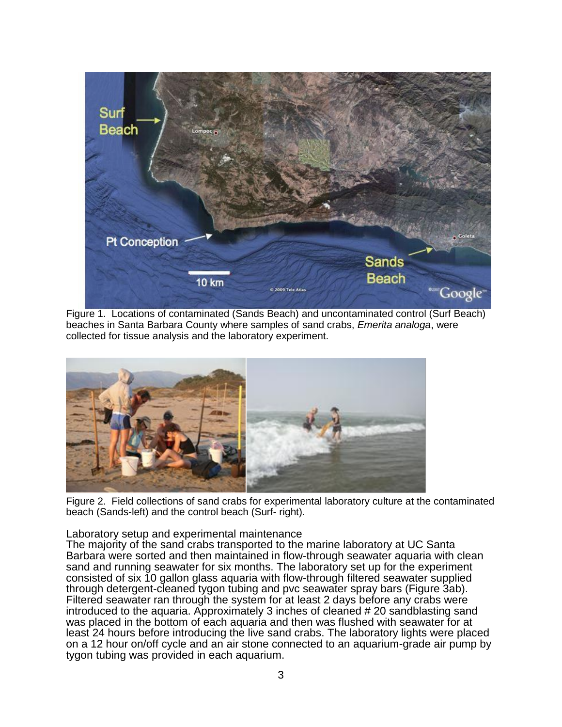

Figure 1. Locations of contaminated (Sands Beach) and uncontaminated control (Surf Beach) beaches in Santa Barbara County where samples of sand crabs, *Emerita analoga*, were collected for tissue analysis and the laboratory experiment.



Figure 2. Field collections of sand crabs for experimental laboratory culture at the contaminated beach (Sands-left) and the control beach (Surf- right).

Laboratory setup and experimental maintenance

The majority of the sand crabs transported to the marine laboratory at UC Santa Barbara were sorted and then maintained in flow-through seawater aquaria with clean sand and running seawater for six months. The laboratory set up for the experiment consisted of six 10 gallon glass aquaria with flow-through filtered seawater supplied through detergent-cleaned tygon tubing and pvc seawater spray bars (Figure 3ab). Filtered seawater ran through the system for at least 2 days before any crabs were introduced to the aquaria. Approximately 3 inches of cleaned # 20 sandblasting sand was placed in the bottom of each aquaria and then was flushed with seawater for at least 24 hours before introducing the live sand crabs. The laboratory lights were placed on a 12 hour on/off cycle and an air stone connected to an aquarium-grade air pump by tygon tubing was provided in each aquarium.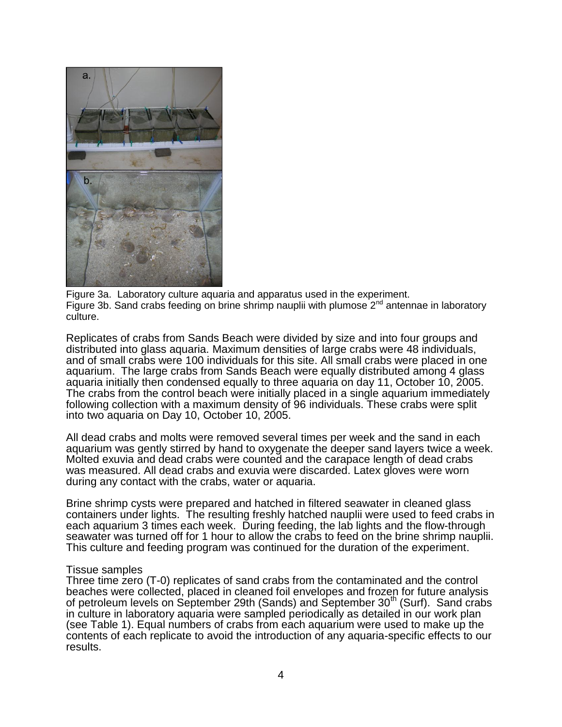

Figure 3a. Laboratory culture aquaria and apparatus used in the experiment. Figure 3b. Sand crabs feeding on brine shrimp nauplii with plumose  $2^{nd}$  antennae in laboratory culture.

Replicates of crabs from Sands Beach were divided by size and into four groups and distributed into glass aquaria. Maximum densities of large crabs were 48 individuals, and of small crabs were 100 individuals for this site. All small crabs were placed in one aquarium. The large crabs from Sands Beach were equally distributed among 4 glass aquaria initially then condensed equally to three aquaria on day 11, October 10, 2005. The crabs from the control beach were initially placed in a single aquarium immediately following collection with a maximum density of 96 individuals. These crabs were split into two aquaria on Day 10, October 10, 2005.

All dead crabs and molts were removed several times per week and the sand in each aquarium was gently stirred by hand to oxygenate the deeper sand layers twice a week. Molted exuvia and dead crabs were counted and the carapace length of dead crabs was measured. All dead crabs and exuvia were discarded. Latex gloves were worn during any contact with the crabs, water or aquaria.

Brine shrimp cysts were prepared and hatched in filtered seawater in cleaned glass containers under lights. The resulting freshly hatched nauplii were used to feed crabs in each aquarium 3 times each week. During feeding, the lab lights and the flow-through seawater was turned off for 1 hour to allow the crabs to feed on the brine shrimp nauplii. This culture and feeding program was continued for the duration of the experiment.

#### Tissue samples

Three time zero (T-0) replicates of sand crabs from the contaminated and the control beaches were collected, placed in cleaned foil envelopes and frozen for future analysis of petroleum levels on September 29th (Sands) and September  $30<sup>th</sup>$  (Surf). Sand crabs in culture in laboratory aquaria were sampled periodically as detailed in our work plan (see Table 1). Equal numbers of crabs from each aquarium were used to make up the contents of each replicate to avoid the introduction of any aquaria-specific effects to our results.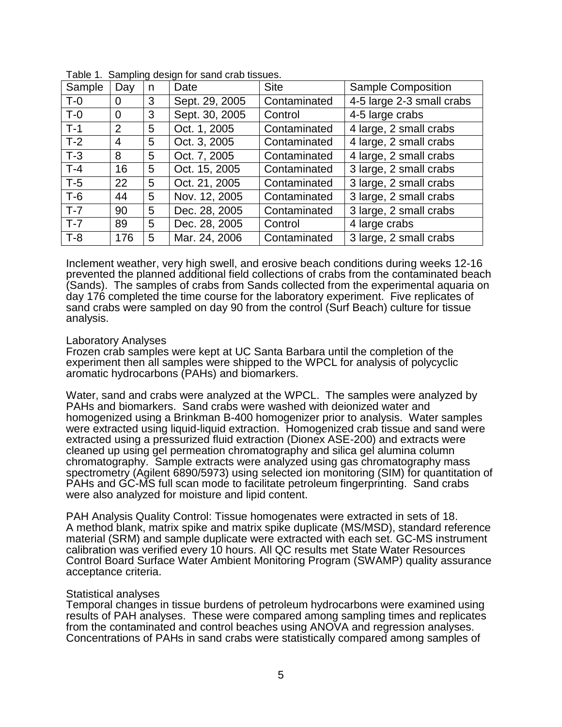| Sample | Day            | n | Date           | <b>Site</b>  | <b>Sample Composition</b> |
|--------|----------------|---|----------------|--------------|---------------------------|
| $T-0$  | O              | 3 | Sept. 29, 2005 | Contaminated | 4-5 large 2-3 small crabs |
| $T-0$  | $\overline{0}$ | 3 | Sept. 30, 2005 | Control      | 4-5 large crabs           |
| $T-1$  | 2              | 5 | Oct. 1, 2005   | Contaminated | 4 large, 2 small crabs    |
| $T-2$  | 4              | 5 | Oct. 3, 2005   | Contaminated | 4 large, 2 small crabs    |
| $T-3$  | 8              | 5 | Oct. 7, 2005   | Contaminated | 4 large, 2 small crabs    |
| $T-4$  | 16             | 5 | Oct. 15, 2005  | Contaminated | 3 large, 2 small crabs    |
| $T-5$  | 22             | 5 | Oct. 21, 2005  | Contaminated | 3 large, 2 small crabs    |
| $T-6$  | 44             | 5 | Nov. 12, 2005  | Contaminated | 3 large, 2 small crabs    |
| $T-7$  | 90             | 5 | Dec. 28, 2005  | Contaminated | 3 large, 2 small crabs    |
| $T-7$  | 89             | 5 | Dec. 28, 2005  | Control      | 4 large crabs             |
| $T-8$  | 176            | 5 | Mar. 24, 2006  | Contaminated | 3 large, 2 small crabs    |

Table 1. Sampling design for sand crab tissues.

Inclement weather, very high swell, and erosive beach conditions during weeks 12-16 prevented the planned additional field collections of crabs from the contaminated beach (Sands). The samples of crabs from Sands collected from the experimental aquaria on day 176 completed the time course for the laboratory experiment. Five replicates of sand crabs were sampled on day 90 from the control (Surf Beach) culture for tissue analysis.

#### Laboratory Analyses

Frozen crab samples were kept at UC Santa Barbara until the completion of the experiment then all samples were shipped to the WPCL for analysis of polycyclic aromatic hydrocarbons (PAHs) and biomarkers.

Water, sand and crabs were analyzed at the WPCL. The samples were analyzed by PAHs and biomarkers. Sand crabs were washed with deionized water and homogenized using a Brinkman B-400 homogenizer prior to analysis. Water samples were extracted using liquid-liquid extraction. Homogenized crab tissue and sand were extracted using a pressurized fluid extraction (Dionex ASE-200) and extracts were cleaned up using gel permeation chromatography and silica gel alumina column chromatography. Sample extracts were analyzed using gas chromatography mass spectrometry (Agilent 6890/5973) using selected ion monitoring (SIM) for quantitation of PAHs and GC-MS full scan mode to facilitate petroleum fingerprinting. Sand crabs were also analyzed for moisture and lipid content.

PAH Analysis Quality Control: Tissue homogenates were extracted in sets of 18. A method blank, matrix spike and matrix spike duplicate (MS/MSD), standard reference material (SRM) and sample duplicate were extracted with each set. GC-MS instrument calibration was verified every 10 hours. All QC results met State Water Resources Control Board Surface Water Ambient Monitoring Program (SWAMP) quality assurance acceptance criteria.

#### Statistical analyses

Temporal changes in tissue burdens of petroleum hydrocarbons were examined using results of PAH analyses. These were compared among sampling times and replicates from the contaminated and control beaches using ANOVA and regression analyses. Concentrations of PAHs in sand crabs were statistically compared among samples of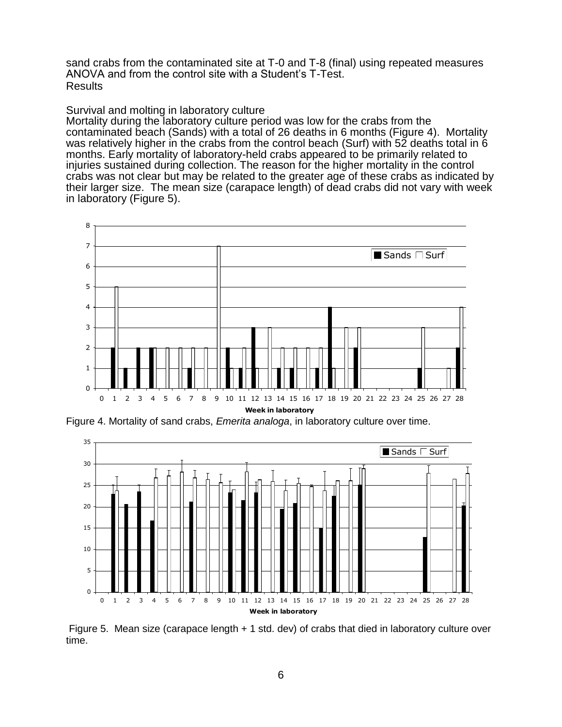sand crabs from the contaminated site at T-0 and T-8 (final) using repeated measures ANOVA and from the control site with a Student's T-Test. Results

## Survival and molting in laboratory culture

Mortality during the laboratory culture period was low for the crabs from the contaminated beach (Sands) with a total of 26 deaths in 6 months (Figure 4). Mortality was relatively higher in the crabs from the control beach (Surf) with 52 deaths total in 6 months. Early mortality of laboratory-held crabs appeared to be primarily related to injuries sustained during collection. The reason for the higher mortality in the control crabs was not clear but may be related to the greater age of these crabs as indicated by their larger size. The mean size (carapace length) of dead crabs did not vary with week in laboratory (Figure 5).



Figure 4. Mortality of sand crabs, *Emerita analoga*, in laboratory culture over time.



Figure 5. Mean size (carapace length + 1 std. dev) of crabs that died in laboratory culture over time.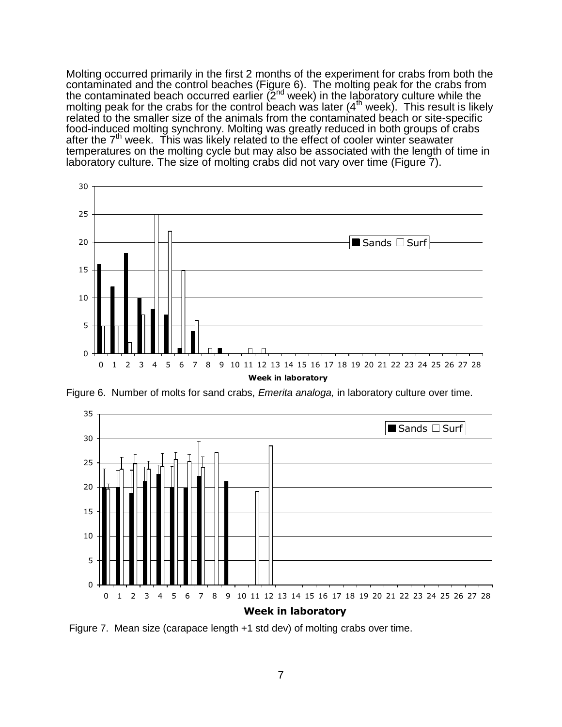Molting occurred primarily in the first 2 months of the experiment for crabs from both the contaminated and the control beaches (Figure 6). The molting peak for the crabs from the contaminated beach occurred earlier (2nd week) in the laboratory culture while the molting peak for the crabs for the control beach was later  $(4<sup>th</sup>$  week). This result is likely related to the smaller size of the animals from the contaminated beach or site-specific food-induced molting synchrony. Molting was greatly reduced in both groups of crabs after the 7<sup>th</sup> week. This was likely related to the effect of cooler winter seawater temperatures on the molting cycle but may also be associated with the length of time in laboratory culture. The size of molting crabs did not vary over time (Figure 7).



Figure 6. Number of molts for sand crabs, *Emerita analoga,* in laboratory culture over time.



Figure 7. Mean size (carapace length +1 std dev) of molting crabs over time.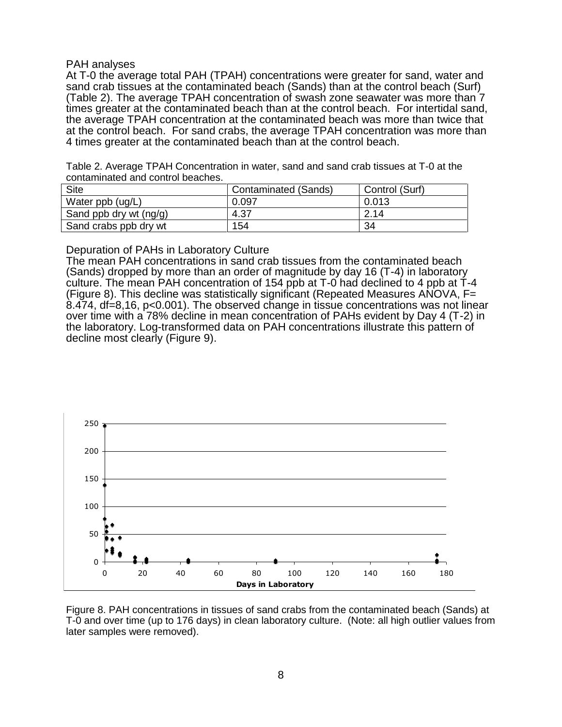## PAH analyses

At T-0 the average total PAH (TPAH) concentrations were greater for sand, water and sand crab tissues at the contaminated beach (Sands) than at the control beach (Surf) (Table 2). The average TPAH concentration of swash zone seawater was more than 7 times greater at the contaminated beach than at the control beach. For intertidal sand, the average TPAH concentration at the contaminated beach was more than twice that at the control beach. For sand crabs, the average TPAH concentration was more than 4 times greater at the contaminated beach than at the control beach.

Table 2. Average TPAH Concentration in water, sand and sand crab tissues at T-0 at the contaminated and control beaches.

| <b>Site</b>            | <b>Contaminated (Sands)</b> | Control (Surf) |
|------------------------|-----------------------------|----------------|
| Water ppb (ug/L)       | 0.097                       | 0.013          |
| Sand ppb dry wt (ng/g) | 4.37                        | 2.14           |
| Sand crabs ppb dry wt  | 154                         | 34             |

Depuration of PAHs in Laboratory Culture

The mean PAH concentrations in sand crab tissues from the contaminated beach (Sands) dropped by more than an order of magnitude by day 16 (T-4) in laboratory culture. The mean PAH concentration of 154 ppb at T-0 had declined to 4 ppb at T-4 (Figure 8). This decline was statistically significant (Repeated Measures ANOVA, F= 8.474, df=8,16, p<0.001). The observed change in tissue concentrations was not linear over time with a 78% decline in mean concentration of PAHs evident by Day 4 (T-2) in the laboratory. Log-transformed data on PAH concentrations illustrate this pattern of decline most clearly (Figure 9).



Figure 8. PAH concentrations in tissues of sand crabs from the contaminated beach (Sands) at T-0 and over time (up to 176 days) in clean laboratory culture. (Note: all high outlier values from later samples were removed).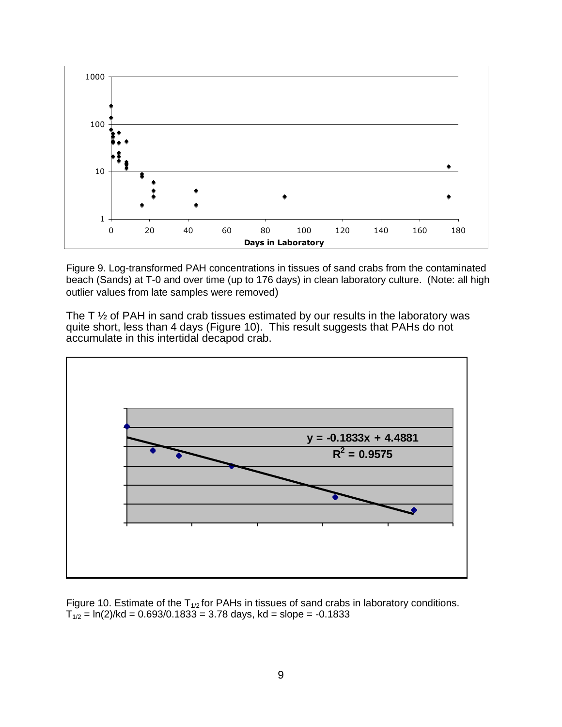

Figure 9. Log-transformed PAH concentrations in tissues of sand crabs from the contaminated beach (Sands) at T-0 and over time (up to 176 days) in clean laboratory culture. (Note: all high outlier values from late samples were removed)

The T  $\frac{1}{2}$  of PAH in sand crab tissues estimated by our results in the laboratory was quite short, less than 4 days (Figure 10). This result suggests that PAHs do not accumulate in this intertidal decapod crab.



Figure 10. Estimate of the  $T_{1/2}$  for PAHs in tissues of sand crabs in laboratory conditions.  $T_{1/2}$  = ln(2)/kd = 0.693/0.1833 = 3.78 days, kd = slope = -0.1833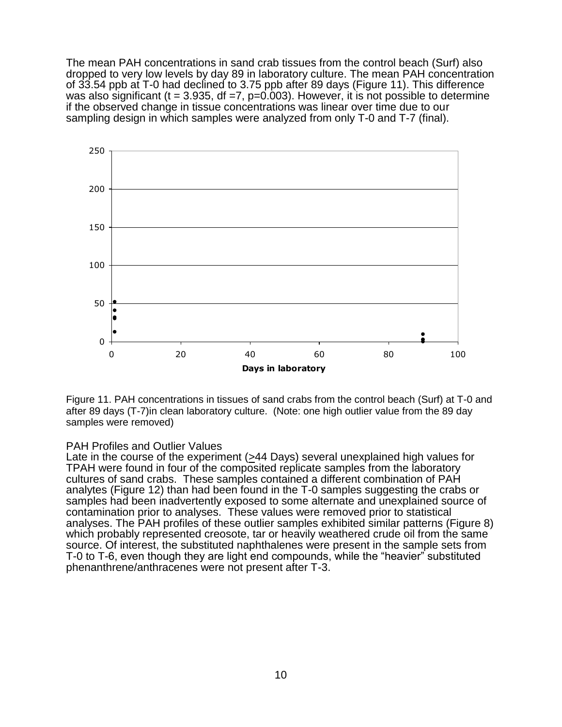The mean PAH concentrations in sand crab tissues from the control beach (Surf) also dropped to very low levels by day 89 in laboratory culture. The mean PAH concentration of 33.54 ppb at T-0 had declined to 3.75 ppb after 89 days (Figure 11). This difference was also significant (t = 3.935, df =7,  $p=0.003$ ). However, it is not possible to determine if the observed change in tissue concentrations was linear over time due to our sampling design in which samples were analyzed from only T-0 and T-7 (final).



Figure 11. PAH concentrations in tissues of sand crabs from the control beach (Surf) at T-0 and after 89 days (T-7)in clean laboratory culture. (Note: one high outlier value from the 89 day samples were removed)

## PAH Profiles and Outlier Values

Late in the course of the experiment (>44 Days) several unexplained high values for TPAH were found in four of the composited replicate samples from the laboratory cultures of sand crabs. These samples contained a different combination of PAH analytes (Figure 12) than had been found in the T-0 samples suggesting the crabs or samples had been inadvertently exposed to some alternate and unexplained source of contamination prior to analyses. These values were removed prior to statistical analyses. The PAH profiles of these outlier samples exhibited similar patterns (Figure 8) which probably represented creosote, tar or heavily weathered crude oil from the same source. Of interest, the substituted naphthalenes were present in the sample sets from T-0 to T-6, even though they are light end compounds, while the "heavier" substituted phenanthrene/anthracenes were not present after T-3.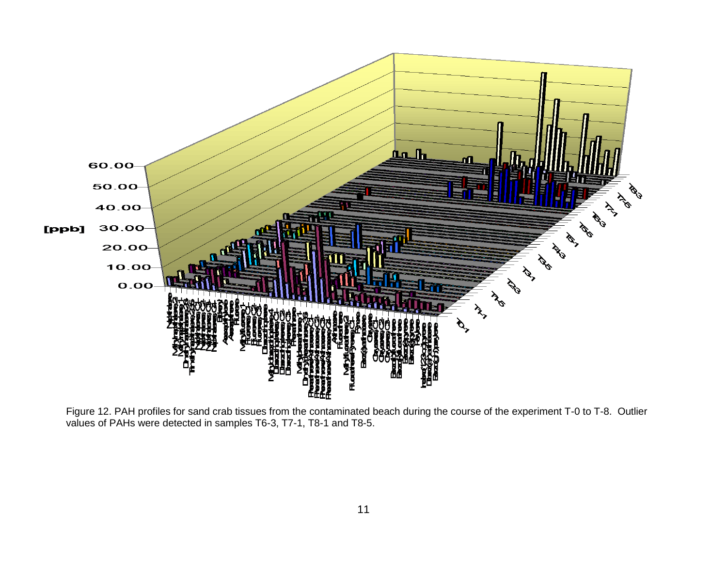

Figure 12. PAH profiles for sand crab tissues from the contaminated beach during the course of the experiment T-0 to T-8. Outlier values of PAHs were detected in samples T6-3, T7-1, T8-1 and T8-5.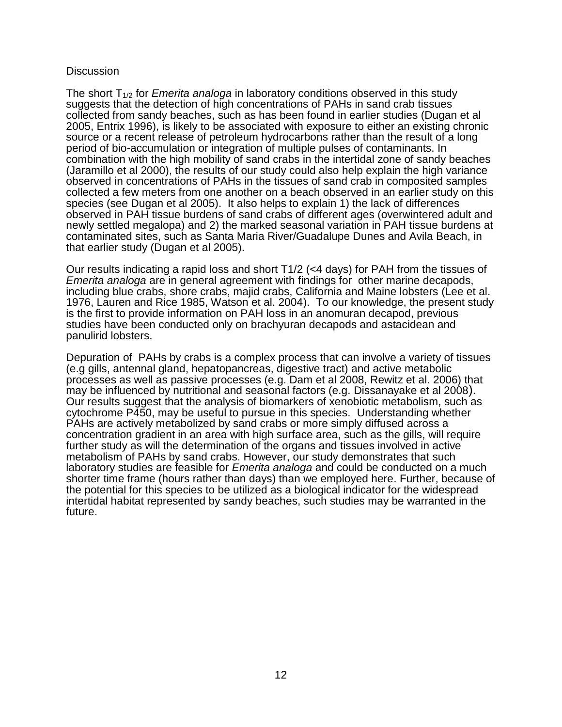## **Discussion**

The short T1/2 for *Emerita analoga* in laboratory conditions observed in this study suggests that the detection of high concentrations of PAHs in sand crab tissues collected from sandy beaches, such as has been found in earlier studies (Dugan et al 2005, Entrix 1996), is likely to be associated with exposure to either an existing chronic source or a recent release of petroleum hydrocarbons rather than the result of a long period of bio-accumulation or integration of multiple pulses of contaminants. In combination with the high mobility of sand crabs in the intertidal zone of sandy beaches (Jaramillo et al 2000), the results of our study could also help explain the high variance observed in concentrations of PAHs in the tissues of sand crab in composited samples collected a few meters from one another on a beach observed in an earlier study on this species (see Dugan et al 2005). It also helps to explain 1) the lack of differences observed in PAH tissue burdens of sand crabs of different ages (overwintered adult and newly settled megalopa) and 2) the marked seasonal variation in PAH tissue burdens at contaminated sites, such as Santa Maria River/Guadalupe Dunes and Avila Beach, in that earlier study (Dugan et al 2005).

Our results indicating a rapid loss and short T1/2 (<4 days) for PAH from the tissues of *Emerita analoga* are in general agreement with findings for other marine decapods, including blue crabs, shore crabs, majid crabs, California and Maine lobsters (Lee et al. 1976, Lauren and Rice 1985, Watson et al. 2004). To our knowledge, the present study is the first to provide information on PAH loss in an anomuran decapod, previous studies have been conducted only on brachyuran decapods and astacidean and panulirid lobsters.

Depuration of PAHs by crabs is a complex process that can involve a variety of tissues (e.g gills, antennal gland, hepatopancreas, digestive tract) and active metabolic processes as well as passive processes (e.g. Dam et al 2008, Rewitz et al. 2006) that may be influenced by nutritional and seasonal factors (e.g. Dissanayake et al 2008). Our results suggest that the analysis of biomarkers of xenobiotic metabolism, such as cytochrome P450, may be useful to pursue in this species. Understanding whether PAHs are actively metabolized by sand crabs or more simply diffused across a concentration gradient in an area with high surface area, such as the gills, will require further study as will the determination of the organs and tissues involved in active metabolism of PAHs by sand crabs. However, our study demonstrates that such laboratory studies are feasible for *Emerita analoga* and could be conducted on a much shorter time frame (hours rather than days) than we employed here. Further, because of the potential for this species to be utilized as a biological indicator for the widespread intertidal habitat represented by sandy beaches, such studies may be warranted in the future.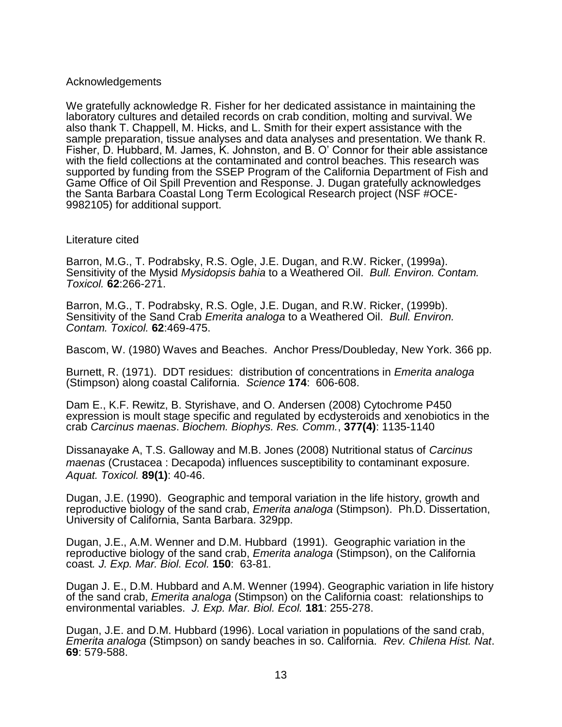## Acknowledgements

We gratefully acknowledge R. Fisher for her dedicated assistance in maintaining the laboratory cultures and detailed records on crab condition, molting and survival. We also thank T. Chappell, M. Hicks, and L. Smith for their expert assistance with the sample preparation, tissue analyses and data analyses and presentation. We thank R. Fisher, D. Hubbard, M. James, K. Johnston, and B. O' Connor for their able assistance with the field collections at the contaminated and control beaches. This research was supported by funding from the SSEP Program of the California Department of Fish and Game Office of Oil Spill Prevention and Response. J. Dugan gratefully acknowledges the Santa Barbara Coastal Long Term Ecological Research project (NSF #OCE-9982105) for additional support.

#### Literature cited

Barron, M.G., T. Podrabsky, R.S. Ogle, J.E. Dugan, and R.W. Ricker, (1999a). Sensitivity of the Mysid *Mysidopsis bahia* to a Weathered Oil. *Bull. Environ. Contam. Toxicol.* **62**:266-271.

Barron, M.G., T. Podrabsky, R.S. Ogle, J.E. Dugan, and R.W. Ricker, (1999b). Sensitivity of the Sand Crab *Emerita analoga* to a Weathered Oil. *Bull. Environ. Contam. Toxicol.* **62**:469-475.

Bascom, W. (1980) Waves and Beaches. Anchor Press/Doubleday, New York. 366 pp.

Burnett, R. (1971). DDT residues: distribution of concentrations in *Emerita analoga* (Stimpson) along coastal California. *Science* **174**: 606-608.

Dam E., K.F. Rewitz, B. Styrishave, and O. Andersen (2008) Cytochrome P450 expression is moult stage specific and regulated by ecdysteroids and xenobiotics in the crab *Carcinus maenas*. *Biochem. Biophys. Res. Comm.*, **377(4)**: 1135-1140

Dissanayake A, T.S. Galloway and M.B. Jones (2008) Nutritional status of *Carcinus maenas* (Crustacea : Decapoda) influences susceptibility to contaminant exposure. *Aquat. Toxicol.* **89(1)**: 40-46.

Dugan, J.E. (1990). Geographic and temporal variation in the life history, growth and reproductive biology of the sand crab, *Emerita analoga* (Stimpson). Ph.D. Dissertation, University of California, Santa Barbara. 329pp.

Dugan, J.E., A.M. Wenner and D.M. Hubbard (1991). Geographic variation in the reproductive biology of the sand crab, *Emerita analoga* (Stimpson), on the California coast*. J. Exp. Mar. Biol. Ecol.* **150**: 63-81.

Dugan J. E., D.M. Hubbard and A.M. Wenner (1994). Geographic variation in life history of the sand crab, *Emerita analoga* (Stimpson) on the California coast: relationships to environmental variables. *J. Exp. Mar. Biol. Ecol.* **181**: 255-278.

Dugan, J.E. and D.M. Hubbard (1996). Local variation in populations of the sand crab, *Emerita analoga* (Stimpson) on sandy beaches in so. California. *Rev. Chilena Hist. Nat*. **69**: 579-588.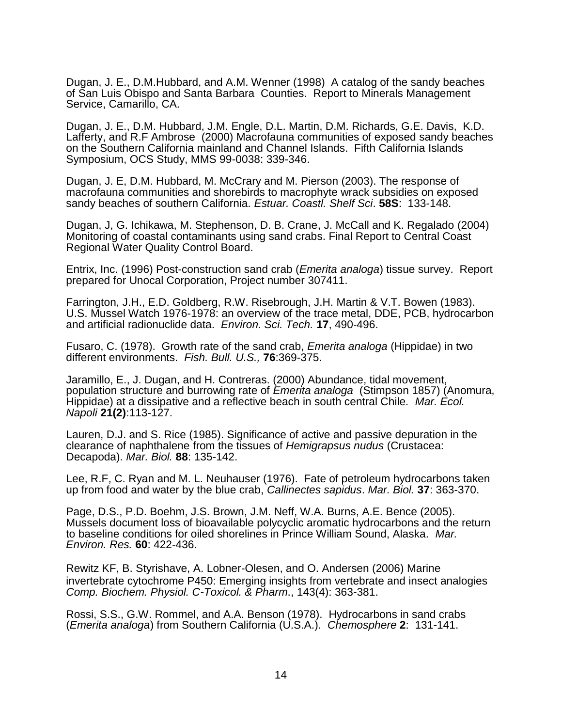Dugan, J. E., D.M.Hubbard, and A.M. Wenner (1998) A catalog of the sandy beaches of San Luis Obispo and Santa Barbara Counties. Report to Minerals Management Service, Camarillo, CA.

Dugan, J. E., D.M. Hubbard, J.M. Engle, D.L. Martin, D.M. Richards, G.E. Davis, K.D. Lafferty, and R.F Ambrose (2000) Macrofauna communities of exposed sandy beaches on the Southern California mainland and Channel Islands. Fifth California Islands Symposium, OCS Study, MMS 99-0038: 339-346.

Dugan, J. E, D.M. Hubbard, M. McCrary and M. Pierson (2003). The response of macrofauna communities and shorebirds to macrophyte wrack subsidies on exposed sandy beaches of southern California. *Estuar. Coastl. Shelf Sci*. **58S**: 133-148.

Dugan, J, G. Ichikawa, M. Stephenson, D. B. Crane, J. McCall and K. Regalado (2004) Monitoring of coastal contaminants using sand crabs. Final Report to Central Coast Regional Water Quality Control Board.

Entrix, Inc. (1996) Post-construction sand crab (*Emerita analoga*) tissue survey. Report prepared for Unocal Corporation, Project number 307411.

Farrington, J.H., E.D. Goldberg, R.W. Risebrough, J.H. Martin & V.T. Bowen (1983). U.S. Mussel Watch 1976-1978: an overview of the trace metal, DDE, PCB, hydrocarbon and artificial radionuclide data. *Environ. Sci. Tech.* **17**, 490-496.

Fusaro, C. (1978). Growth rate of the sand crab, *Emerita analoga* (Hippidae) in two different environments. *Fish. Bull. U.S.,* **76**:369-375.

Jaramillo, E., J. Dugan, and H. Contreras. (2000) Abundance, tidal movement, population structure and burrowing rate of *Emerita analoga* (Stimpson 1857) (Anomura, Hippidae) at a dissipative and a reflective beach in south central Chile*. Mar. Ecol. Napoli* **21(2)**:113-127.

Lauren, D.J. and S. Rice (1985). Significance of active and passive depuration in the clearance of naphthalene from the tissues of *Hemigrapsus nudus* (Crustacea: Decapoda). *Mar. Biol.* **88**: 135-142.

Lee, R.F, C. Ryan and M. L. Neuhauser (1976). Fate of petroleum hydrocarbons taken up from food and water by the blue crab, *Callinectes sapidus*. *Mar. Biol.* **37**: 363-370.

Page, D.S., P.D. Boehm, J.S. Brown, J.M. Neff, W.A. Burns, A.E. Bence (2005). Mussels document loss of bioavailable polycyclic aromatic hydrocarbons and the return to baseline conditions for oiled shorelines in Prince William Sound, Alaska. *Mar. Environ. Res.* **60**: 422-436.

Rewitz KF, B. Styrishave, A. Lobner-Olesen, and O. Andersen (2006) Marine invertebrate cytochrome P450: Emerging insights from vertebrate and insect analogies *Comp. Biochem. Physiol. C-Toxicol. & Pharm*., 143(4): 363-381.

Rossi, S.S., G.W. Rommel, and A.A. Benson (1978). Hydrocarbons in sand crabs (*Emerita analoga*) from Southern California (U.S.A.). *Chemosphere* **2**: 131-141.